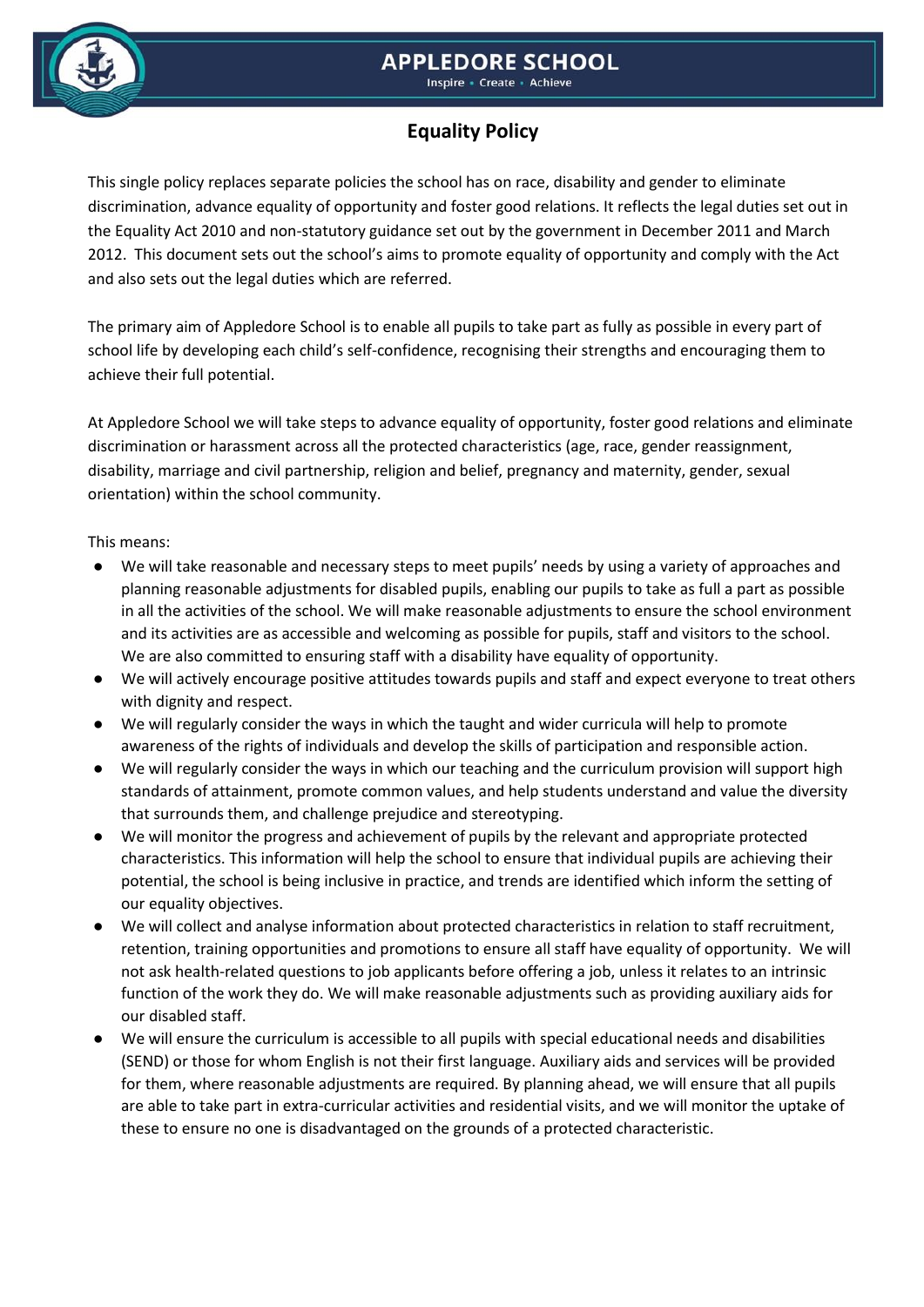# **APPLEDORE SCHOOL**



#### Inspire • Create • Achieve

# **Equality Policy**

This single policy replaces separate policies the school has on race, disability and gender to eliminate discrimination, advance equality of opportunity and foster good relations. It reflects the legal duties set out in the Equality Act 2010 and non-statutory guidance set out by the government in December 2011 and March 2012. This document sets out the school's aims to promote equality of opportunity and comply with the Act and also sets out the legal duties which are referred.

The primary aim of Appledore School is to enable all pupils to take part as fully as possible in every part of school life by developing each child's self-confidence, recognising their strengths and encouraging them to achieve their full potential.

At Appledore School we will take steps to advance equality of opportunity, foster good relations and eliminate discrimination or harassment across all the protected characteristics (age, race, gender reassignment, disability, marriage and civil partnership, religion and belief, pregnancy and maternity, gender, sexual orientation) within the school community.

#### This means:

- We will take reasonable and necessary steps to meet pupils' needs by using a variety of approaches and planning reasonable adjustments for disabled pupils, enabling our pupils to take as full a part as possible in all the activities of the school. We will make reasonable adjustments to ensure the school environment and its activities are as accessible and welcoming as possible for pupils, staff and visitors to the school. We are also committed to ensuring staff with a disability have equality of opportunity.
- We will actively encourage positive attitudes towards pupils and staff and expect everyone to treat others with dignity and respect.
- We will regularly consider the ways in which the taught and wider curricula will help to promote awareness of the rights of individuals and develop the skills of participation and responsible action.
- We will regularly consider the ways in which our teaching and the curriculum provision will support high standards of attainment, promote common values, and help students understand and value the diversity that surrounds them, and challenge prejudice and stereotyping.
- We will monitor the progress and achievement of pupils by the relevant and appropriate protected characteristics. This information will help the school to ensure that individual pupils are achieving their potential, the school is being inclusive in practice, and trends are identified which inform the setting of our equality objectives.
- We will collect and analyse information about protected characteristics in relation to staff recruitment, retention, training opportunities and promotions to ensure all staff have equality of opportunity. We will not ask health-related questions to job applicants before offering a job, unless it relates to an intrinsic function of the work they do. We will make reasonable adjustments such as providing auxiliary aids for our disabled staff.
- We will ensure the curriculum is accessible to all pupils with special educational needs and disabilities (SEND) or those for whom English is not their first language. Auxiliary aids and services will be provided for them, where reasonable adjustments are required. By planning ahead, we will ensure that all pupils are able to take part in extra-curricular activities and residential visits, and we will monitor the uptake of these to ensure no one is disadvantaged on the grounds of a protected characteristic.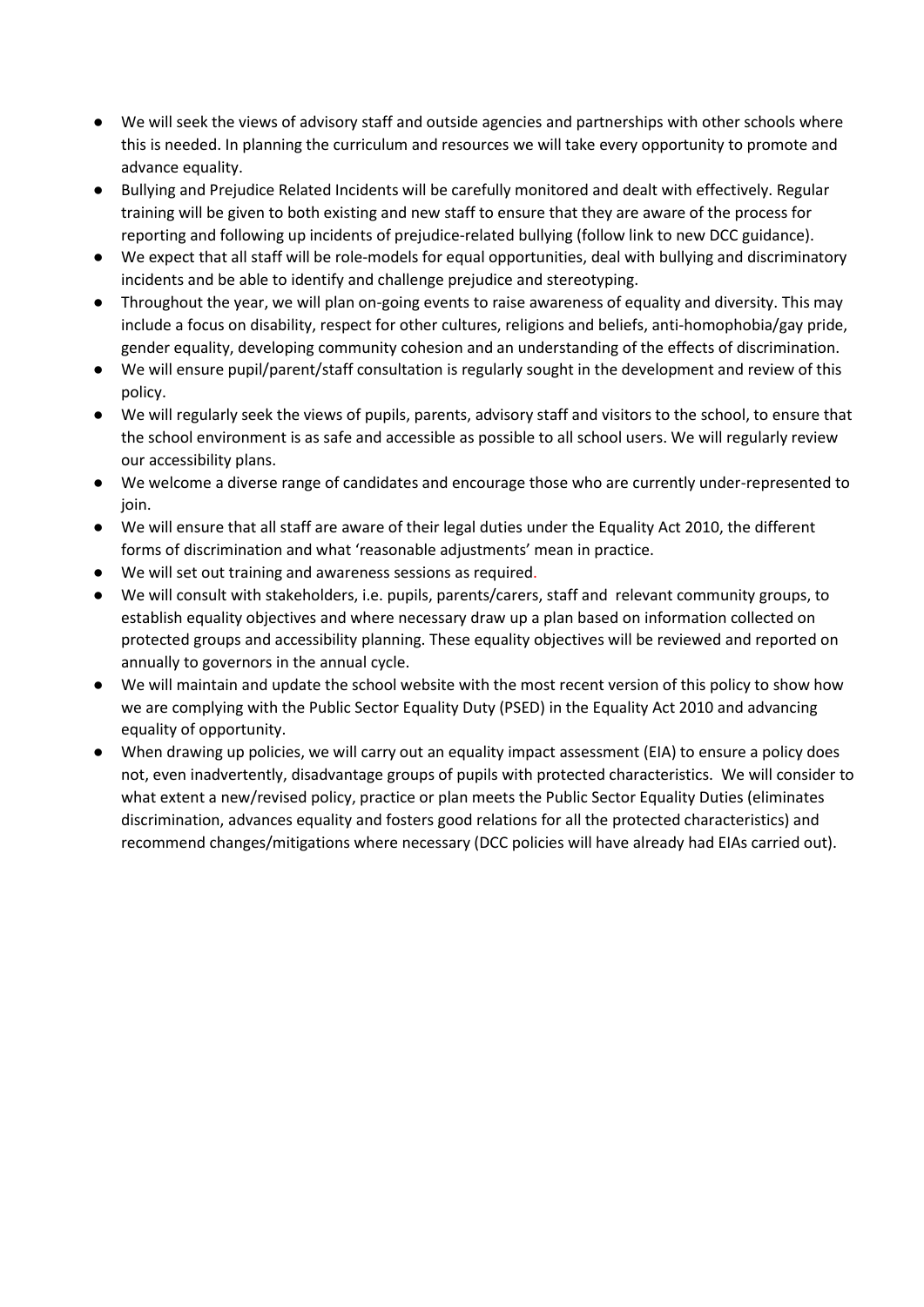- We will seek the views of advisory staff and outside agencies and partnerships with other schools where this is needed. In planning the curriculum and resources we will take every opportunity to promote and advance equality.
- Bullying and Prejudice Related Incidents will be carefully monitored and dealt with effectively. Regular training will be given to both existing and new staff to ensure that they are aware of the process for reporting and following up incidents of prejudice-related bullying (follow link to new DCC guidance).
- We expect that all staff will be role-models for equal opportunities, deal with bullying and discriminatory incidents and be able to identify and challenge prejudice and stereotyping.
- Throughout the year, we will plan on-going events to raise awareness of equality and diversity. This may include a focus on disability, respect for other cultures, religions and beliefs, anti-homophobia/gay pride, gender equality, developing community cohesion and an understanding of the effects of discrimination.
- We will ensure pupil/parent/staff consultation is regularly sought in the development and review of this policy.
- We will regularly seek the views of pupils, parents, advisory staff and visitors to the school, to ensure that the school environment is as safe and accessible as possible to all school users. We will regularly review our accessibility plans.
- We welcome a diverse range of candidates and encourage those who are currently under-represented to ioin.
- We will ensure that all staff are aware of their legal duties under the Equality Act 2010, the different forms of discrimination and what 'reasonable adjustments' mean in practice.
- We will set out training and awareness sessions as required.
- We will consult with stakeholders, i.e. pupils, parents/carers, staff and relevant community groups, to establish equality objectives and where necessary draw up a plan based on information collected on protected groups and accessibility planning. These equality objectives will be reviewed and reported on annually to governors in the annual cycle.
- We will maintain and update the school website with the most recent version of this policy to show how we are complying with the Public Sector Equality Duty (PSED) in the Equality Act 2010 and advancing equality of opportunity.
- When drawing up policies, we will carry out an equality impact assessment (EIA) to ensure a policy does not, even inadvertently, disadvantage groups of pupils with protected characteristics. We will consider to what extent a new/revised policy, practice or plan meets the Public Sector Equality Duties (eliminates discrimination, advances equality and fosters good relations for all the protected characteristics) and recommend changes/mitigations where necessary (DCC policies will have already had EIAs carried out).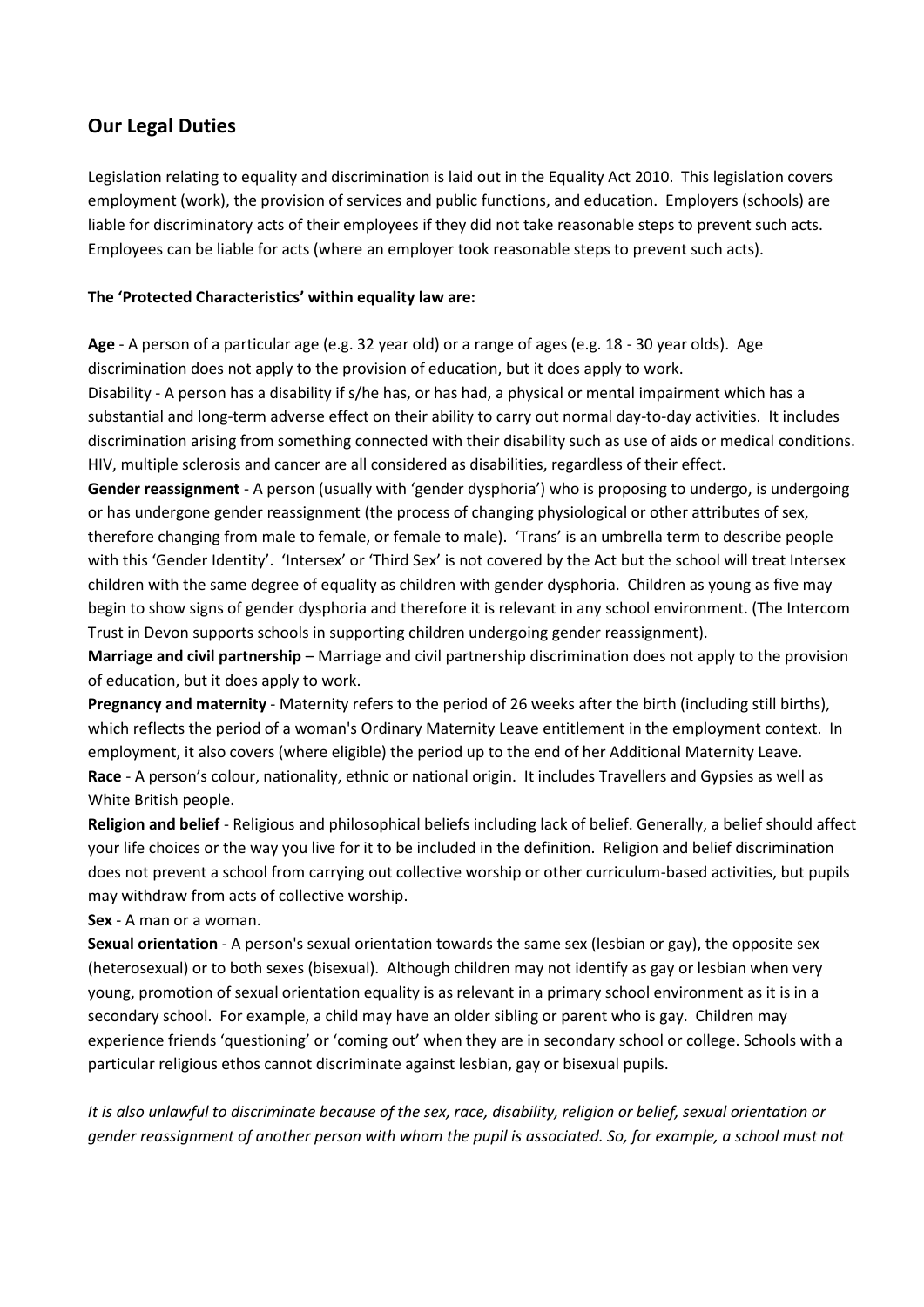## **Our Legal Duties**

Legislation relating to equality and discrimination is laid out in the Equality Act 2010. This legislation covers employment (work), the provision of services and public functions, and education. Employers (schools) are liable for discriminatory acts of their employees if they did not take reasonable steps to prevent such acts. Employees can be liable for acts (where an employer took reasonable steps to prevent such acts).

#### **The 'Protected Characteristics' within equality law are:**

**Age** - A person of a particular age (e.g. 32 year old) or a range of ages (e.g. 18 - 30 year olds). Age discrimination does not apply to the provision of education, but it does apply to work.

Disability - A person has a disability if s/he has, or has had, a physical or mental impairment which has a substantial and long-term adverse effect on their ability to carry out normal day-to-day activities. It includes discrimination arising from something connected with their disability such as use of aids or medical conditions. HIV, multiple sclerosis and cancer are all considered as disabilities, regardless of their effect.

**Gender reassignment** - A person (usually with 'gender dysphoria') who is proposing to undergo, is undergoing or has undergone gender reassignment (the process of changing physiological or other attributes of sex, therefore changing from male to female, or female to male). 'Trans' is an umbrella term to describe people with this 'Gender Identity'. 'Intersex' or 'Third Sex' is not covered by the Act but the school will treat Intersex children with the same degree of equality as children with gender dysphoria. Children as young as five may begin to show signs of gender dysphoria and therefore it is relevant in any school environment. (The Intercom Trust in Devon supports schools in supporting children undergoing gender reassignment).

**Marriage and civil partnership** – Marriage and civil partnership discrimination does not apply to the provision of education, but it does apply to work.

**Pregnancy and maternity** - Maternity refers to the period of 26 weeks after the birth (including still births), which reflects the period of a woman's Ordinary Maternity Leave entitlement in the employment context. In employment, it also covers (where eligible) the period up to the end of her Additional Maternity Leave. **Race** - A person's colour, nationality, ethnic or national origin. It includes Travellers and Gypsies as well as White British people.

**Religion and belief** - Religious and philosophical beliefs including lack of belief. Generally, a belief should affect your life choices or the way you live for it to be included in the definition. Religion and belief discrimination does not prevent a school from carrying out collective worship or other curriculum-based activities, but pupils may withdraw from acts of collective worship.

**Sex** - A man or a woman.

**Sexual orientation** - A person's sexual orientation towards the same sex (lesbian or gay), the opposite sex (heterosexual) or to both sexes (bisexual). Although children may not identify as gay or lesbian when very young, promotion of sexual orientation equality is as relevant in a primary school environment as it is in a secondary school. For example, a child may have an older sibling or parent who is gay. Children may experience friends 'questioning' or 'coming out' when they are in secondary school or college. Schools with a particular religious ethos cannot discriminate against lesbian, gay or bisexual pupils.

*It is also unlawful to discriminate because of the sex, race, disability, religion or belief, sexual orientation or gender reassignment of another person with whom the pupil is associated. So, for example, a school must not*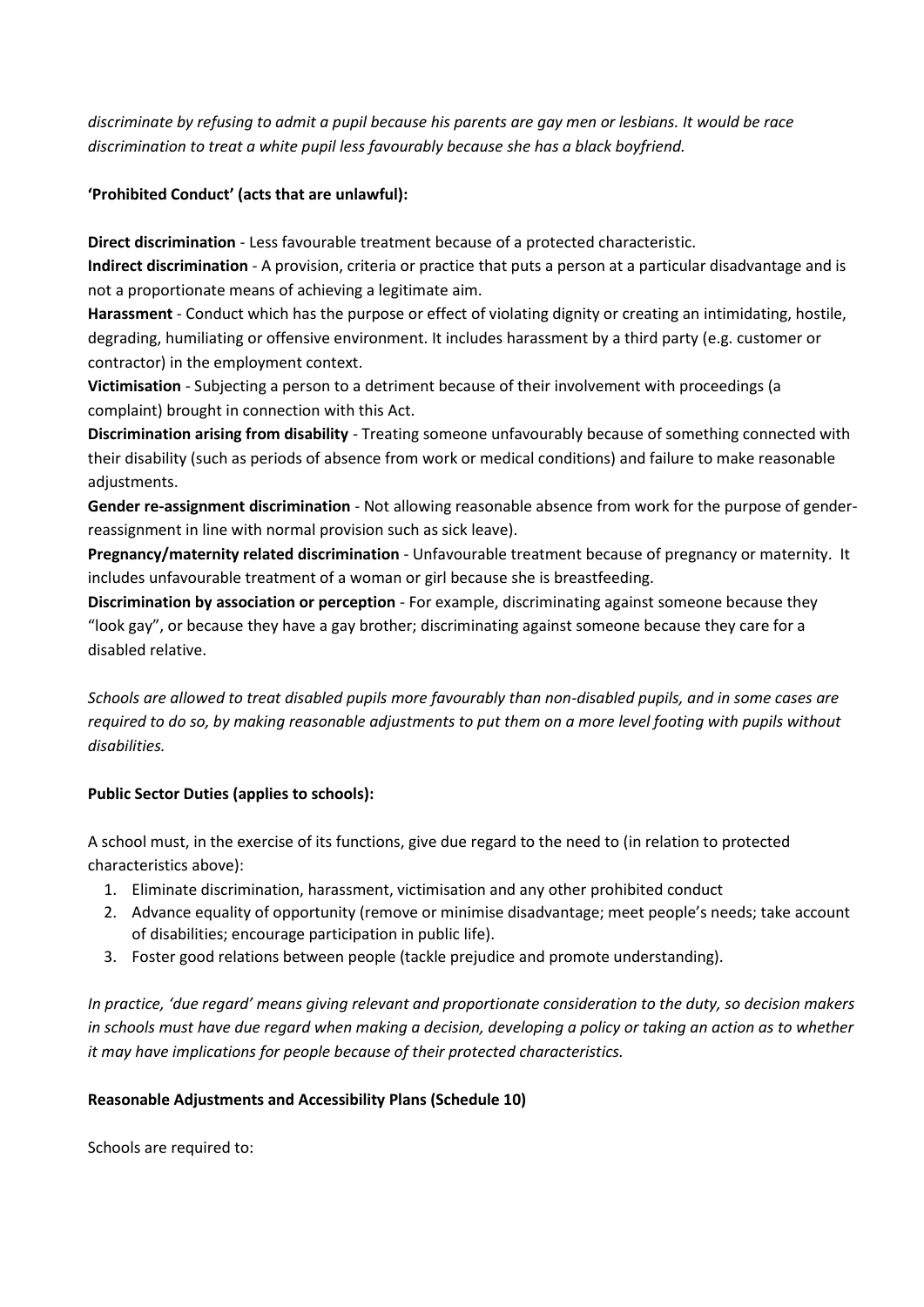*discriminate by refusing to admit a pupil because his parents are gay men or lesbians. It would be race discrimination to treat a white pupil less favourably because she has a black boyfriend.*

#### **'Prohibited Conduct' (acts that are unlawful):**

**Direct discrimination** - Less favourable treatment because of a protected characteristic.

**Indirect discrimination** - A provision, criteria or practice that puts a person at a particular disadvantage and is not a proportionate means of achieving a legitimate aim.

**Harassment** - Conduct which has the purpose or effect of violating dignity or creating an intimidating, hostile, degrading, humiliating or offensive environment. It includes harassment by a third party (e.g. customer or contractor) in the employment context.

**Victimisation** - Subjecting a person to a detriment because of their involvement with proceedings (a complaint) brought in connection with this Act.

**Discrimination arising from disability** - Treating someone unfavourably because of something connected with their disability (such as periods of absence from work or medical conditions) and failure to make reasonable adjustments.

**Gender re-assignment discrimination** - Not allowing reasonable absence from work for the purpose of genderreassignment in line with normal provision such as sick leave).

**Pregnancy/maternity related discrimination** - Unfavourable treatment because of pregnancy or maternity. It includes unfavourable treatment of a woman or girl because she is breastfeeding.

**Discrimination by association or perception** - For example, discriminating against someone because they "look gay", or because they have a gay brother; discriminating against someone because they care for a disabled relative.

*Schools are allowed to treat disabled pupils more favourably than non-disabled pupils, and in some cases are required to do so, by making reasonable adjustments to put them on a more level footing with pupils without disabilities.*

### **Public Sector Duties (applies to schools):**

A school must, in the exercise of its functions, give due regard to the need to (in relation to protected characteristics above):

- 1. Eliminate discrimination, harassment, victimisation and any other prohibited conduct
- 2. Advance equality of opportunity (remove or minimise disadvantage; meet people's needs; take account of disabilities; encourage participation in public life).
- 3. Foster good relations between people (tackle prejudice and promote understanding).

*In practice, 'due regard' means giving relevant and proportionate consideration to the duty, so decision makers in schools must have due regard when making a decision, developing a policy or taking an action as to whether it may have implications for people because of their protected characteristics.*

### **Reasonable Adjustments and Accessibility Plans (Schedule 10)**

Schools are required to: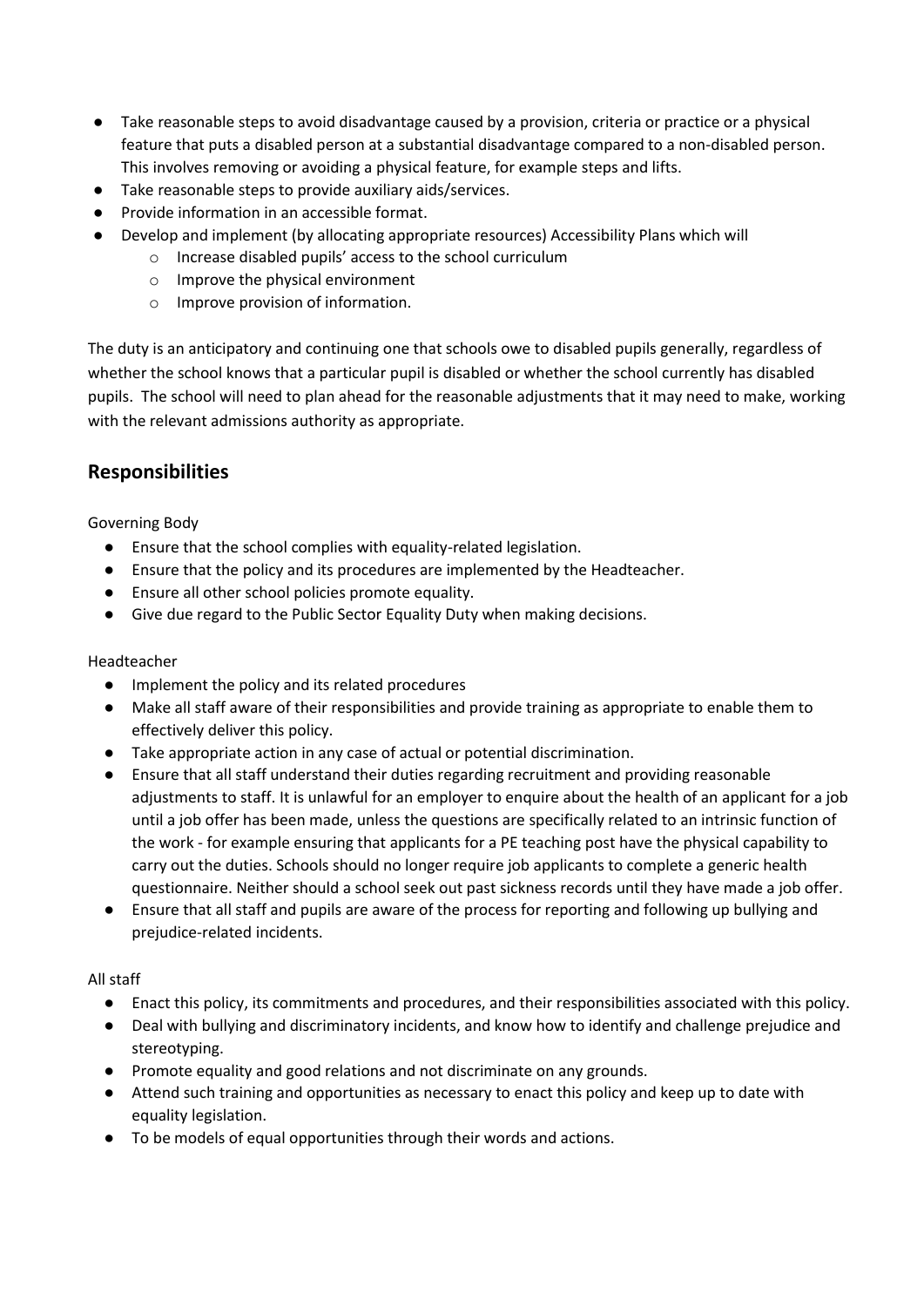- Take reasonable steps to avoid disadvantage caused by a provision, criteria or practice or a physical feature that puts a disabled person at a substantial disadvantage compared to a non-disabled person. This involves removing or avoiding a physical feature, for example steps and lifts.
- Take reasonable steps to provide auxiliary aids/services.
- Provide information in an accessible format.
- Develop and implement (by allocating appropriate resources) Accessibility Plans which will
	- o Increase disabled pupils' access to the school curriculum
	- o Improve the physical environment
	- o Improve provision of information.

The duty is an anticipatory and continuing one that schools owe to disabled pupils generally, regardless of whether the school knows that a particular pupil is disabled or whether the school currently has disabled pupils. The school will need to plan ahead for the reasonable adjustments that it may need to make, working with the relevant admissions authority as appropriate.

### **Responsibilities**

#### Governing Body

- Ensure that the school complies with equality-related legislation.
- Ensure that the policy and its procedures are implemented by the Headteacher.
- Ensure all other school policies promote equality.
- Give due regard to the Public Sector Equality Duty when making decisions.

#### Headteacher

- Implement the policy and its related procedures
- Make all staff aware of their responsibilities and provide training as appropriate to enable them to effectively deliver this policy.
- Take appropriate action in any case of actual or potential discrimination.
- Ensure that all staff understand their duties regarding recruitment and providing reasonable adjustments to staff. It is unlawful for an employer to enquire about the health of an applicant for a job until a job offer has been made, unless the questions are specifically related to an intrinsic function of the work - for example ensuring that applicants for a PE teaching post have the physical capability to carry out the duties. Schools should no longer require job applicants to complete a generic health questionnaire. Neither should a school seek out past sickness records until they have made a job offer.
- Ensure that all staff and pupils are aware of the process for reporting and following up bullying and prejudice-related incidents.

#### All staff

- Enact this policy, its commitments and procedures, and their responsibilities associated with this policy.
- Deal with bullying and discriminatory incidents, and know how to identify and challenge prejudice and stereotyping.
- Promote equality and good relations and not discriminate on any grounds.
- Attend such training and opportunities as necessary to enact this policy and keep up to date with equality legislation.
- To be models of equal opportunities through their words and actions.